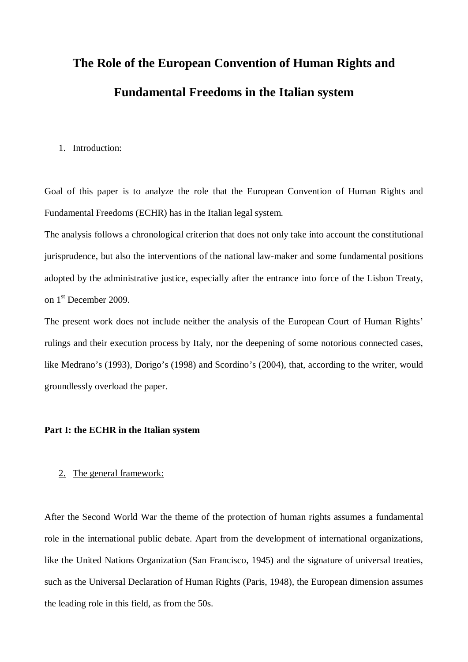# **The Role of the European Convention of Human Rights and Fundamental Freedoms in the Italian system**

#### 1. Introduction:

Goal of this paper is to analyze the role that the European Convention of Human Rights and Fundamental Freedoms (ECHR) has in the Italian legal system.

The analysis follows a chronological criterion that does not only take into account the constitutional jurisprudence, but also the interventions of the national law-maker and some fundamental positions adopted by the administrative justice, especially after the entrance into force of the Lisbon Treaty, on 1st December 2009.

The present work does not include neither the analysis of the European Court of Human Rights' rulings and their execution process by Italy, nor the deepening of some notorious connected cases, like Medrano's (1993), Dorigo's (1998) and Scordino's (2004), that, according to the writer, would groundlessly overload the paper.

#### **Part I: the ECHR in the Italian system**

#### 2. The general framework:

After the Second World War the theme of the protection of human rights assumes a fundamental role in the international public debate. Apart from the development of international organizations, like the United Nations Organization (San Francisco, 1945) and the signature of universal treaties, such as the Universal Declaration of Human Rights (Paris, 1948), the European dimension assumes the leading role in this field, as from the 50s.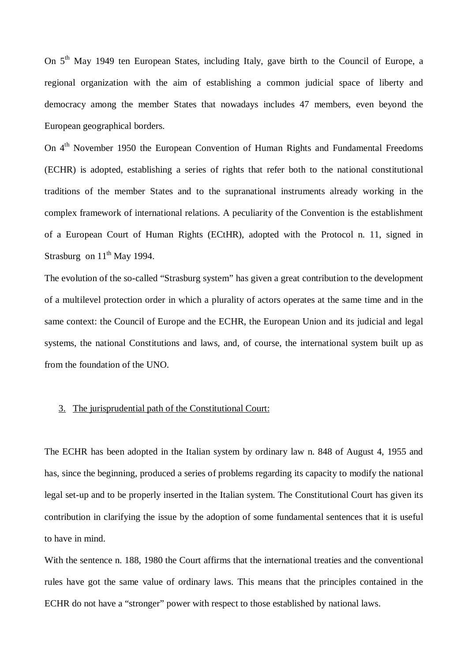On 5<sup>th</sup> May 1949 ten European States, including Italy, gave birth to the Council of Europe, a regional organization with the aim of establishing a common judicial space of liberty and democracy among the member States that nowadays includes 47 members, even beyond the European geographical borders.

On 4<sup>th</sup> November 1950 the European Convention of Human Rights and Fundamental Freedoms (ECHR) is adopted, establishing a series of rights that refer both to the national constitutional traditions of the member States and to the supranational instruments already working in the complex framework of international relations. A peculiarity of the Convention is the establishment of a European Court of Human Rights (ECtHR), adopted with the Protocol n. 11, signed in Strasburg on  $11<sup>th</sup>$  May 1994.

The evolution of the so-called "Strasburg system" has given a great contribution to the development of a multilevel protection order in which a plurality of actors operates at the same time and in the same context: the Council of Europe and the ECHR, the European Union and its judicial and legal systems, the national Constitutions and laws, and, of course, the international system built up as from the foundation of the UNO.

#### 3. The jurisprudential path of the Constitutional Court:

The ECHR has been adopted in the Italian system by ordinary law n. 848 of August 4, 1955 and has, since the beginning, produced a series of problems regarding its capacity to modify the national legal set-up and to be properly inserted in the Italian system. The Constitutional Court has given its contribution in clarifying the issue by the adoption of some fundamental sentences that it is useful to have in mind.

With the sentence n. 188, 1980 the Court affirms that the international treaties and the conventional rules have got the same value of ordinary laws. This means that the principles contained in the ECHR do not have a "stronger" power with respect to those established by national laws.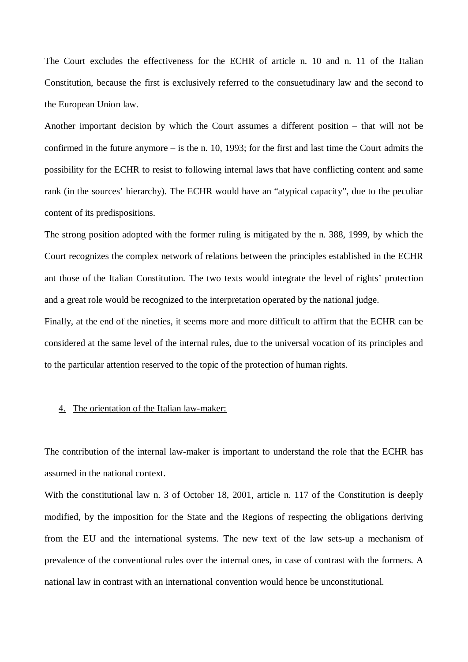The Court excludes the effectiveness for the ECHR of article n. 10 and n. 11 of the Italian Constitution, because the first is exclusively referred to the consuetudinary law and the second to the European Union law.

Another important decision by which the Court assumes a different position – that will not be confirmed in the future anymore – is the n. 10, 1993; for the first and last time the Court admits the possibility for the ECHR to resist to following internal laws that have conflicting content and same rank (in the sources' hierarchy). The ECHR would have an "atypical capacity", due to the peculiar content of its predispositions.

The strong position adopted with the former ruling is mitigated by the n. 388, 1999, by which the Court recognizes the complex network of relations between the principles established in the ECHR ant those of the Italian Constitution. The two texts would integrate the level of rights' protection and a great role would be recognized to the interpretation operated by the national judge.

Finally, at the end of the nineties, it seems more and more difficult to affirm that the ECHR can be considered at the same level of the internal rules, due to the universal vocation of its principles and to the particular attention reserved to the topic of the protection of human rights.

#### 4. The orientation of the Italian law-maker:

The contribution of the internal law-maker is important to understand the role that the ECHR has assumed in the national context.

With the constitutional law n. 3 of October 18, 2001, article n. 117 of the Constitution is deeply modified, by the imposition for the State and the Regions of respecting the obligations deriving from the EU and the international systems. The new text of the law sets-up a mechanism of prevalence of the conventional rules over the internal ones, in case of contrast with the formers. A national law in contrast with an international convention would hence be unconstitutional.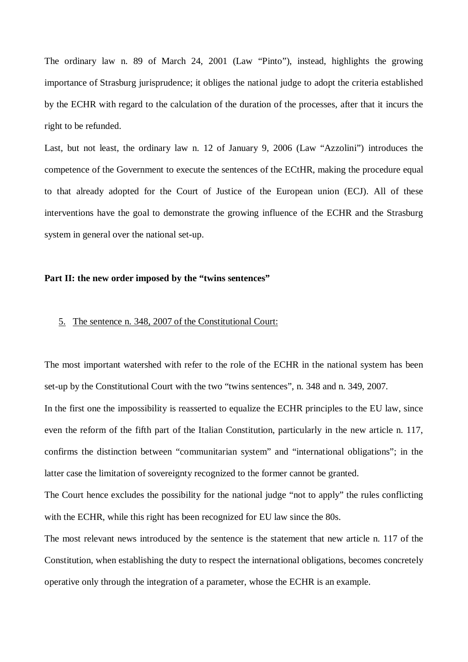The ordinary law n. 89 of March 24, 2001 (Law "Pinto"), instead, highlights the growing importance of Strasburg jurisprudence; it obliges the national judge to adopt the criteria established by the ECHR with regard to the calculation of the duration of the processes, after that it incurs the right to be refunded.

Last, but not least, the ordinary law n. 12 of January 9, 2006 (Law "Azzolini") introduces the competence of the Government to execute the sentences of the ECtHR, making the procedure equal to that already adopted for the Court of Justice of the European union (ECJ). All of these interventions have the goal to demonstrate the growing influence of the ECHR and the Strasburg system in general over the national set-up.

#### **Part II: the new order imposed by the "twins sentences"**

#### 5. The sentence n. 348, 2007 of the Constitutional Court:

The most important watershed with refer to the role of the ECHR in the national system has been set-up by the Constitutional Court with the two "twins sentences", n. 348 and n. 349, 2007. In the first one the impossibility is reasserted to equalize the ECHR principles to the EU law, since even the reform of the fifth part of the Italian Constitution, particularly in the new article n. 117, confirms the distinction between "communitarian system" and "international obligations"; in the

latter case the limitation of sovereignty recognized to the former cannot be granted.

The Court hence excludes the possibility for the national judge "not to apply" the rules conflicting with the ECHR, while this right has been recognized for EU law since the 80s.

The most relevant news introduced by the sentence is the statement that new article n. 117 of the Constitution, when establishing the duty to respect the international obligations, becomes concretely operative only through the integration of a parameter, whose the ECHR is an example.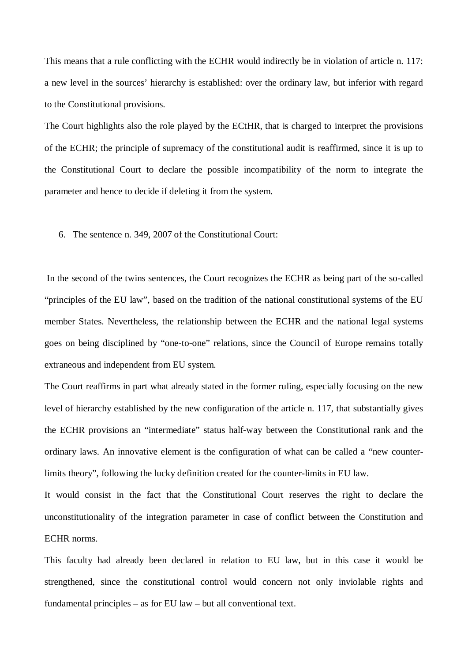This means that a rule conflicting with the ECHR would indirectly be in violation of article n. 117: a new level in the sources' hierarchy is established: over the ordinary law, but inferior with regard to the Constitutional provisions.

The Court highlights also the role played by the ECtHR, that is charged to interpret the provisions of the ECHR; the principle of supremacy of the constitutional audit is reaffirmed, since it is up to the Constitutional Court to declare the possible incompatibility of the norm to integrate the parameter and hence to decide if deleting it from the system.

#### 6. The sentence n. 349, 2007 of the Constitutional Court:

In the second of the twins sentences, the Court recognizes the ECHR as being part of the so-called "principles of the EU law", based on the tradition of the national constitutional systems of the EU member States. Nevertheless, the relationship between the ECHR and the national legal systems goes on being disciplined by "one-to-one" relations, since the Council of Europe remains totally extraneous and independent from EU system.

The Court reaffirms in part what already stated in the former ruling, especially focusing on the new level of hierarchy established by the new configuration of the article n. 117, that substantially gives the ECHR provisions an "intermediate" status half-way between the Constitutional rank and the ordinary laws. An innovative element is the configuration of what can be called a "new counterlimits theory", following the lucky definition created for the counter-limits in EU law.

It would consist in the fact that the Constitutional Court reserves the right to declare the unconstitutionality of the integration parameter in case of conflict between the Constitution and ECHR norms.

This faculty had already been declared in relation to EU law, but in this case it would be strengthened, since the constitutional control would concern not only inviolable rights and fundamental principles – as for EU law – but all conventional text.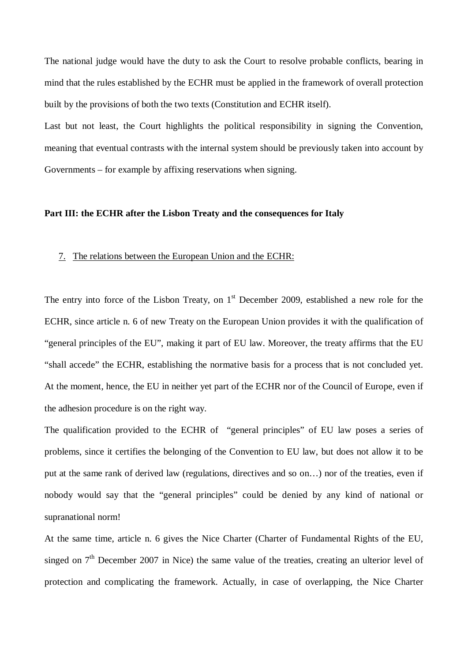The national judge would have the duty to ask the Court to resolve probable conflicts, bearing in mind that the rules established by the ECHR must be applied in the framework of overall protection built by the provisions of both the two texts (Constitution and ECHR itself).

Last but not least, the Court highlights the political responsibility in signing the Convention, meaning that eventual contrasts with the internal system should be previously taken into account by Governments – for example by affixing reservations when signing.

### **Part III: the ECHR after the Lisbon Treaty and the consequences for Italy**

### 7. The relations between the European Union and the ECHR:

The entry into force of the Lisbon Treaty, on  $1<sup>st</sup>$  December 2009, established a new role for the ECHR, since article n. 6 of new Treaty on the European Union provides it with the qualification of "general principles of the EU", making it part of EU law. Moreover, the treaty affirms that the EU "shall accede" the ECHR, establishing the normative basis for a process that is not concluded yet. At the moment, hence, the EU in neither yet part of the ECHR nor of the Council of Europe, even if the adhesion procedure is on the right way.

The qualification provided to the ECHR of "general principles" of EU law poses a series of problems, since it certifies the belonging of the Convention to EU law, but does not allow it to be put at the same rank of derived law (regulations, directives and so on…) nor of the treaties, even if nobody would say that the "general principles" could be denied by any kind of national or supranational norm!

At the same time, article n. 6 gives the Nice Charter (Charter of Fundamental Rights of the EU, singed on  $7<sup>th</sup>$  December 2007 in Nice) the same value of the treaties, creating an ulterior level of protection and complicating the framework. Actually, in case of overlapping, the Nice Charter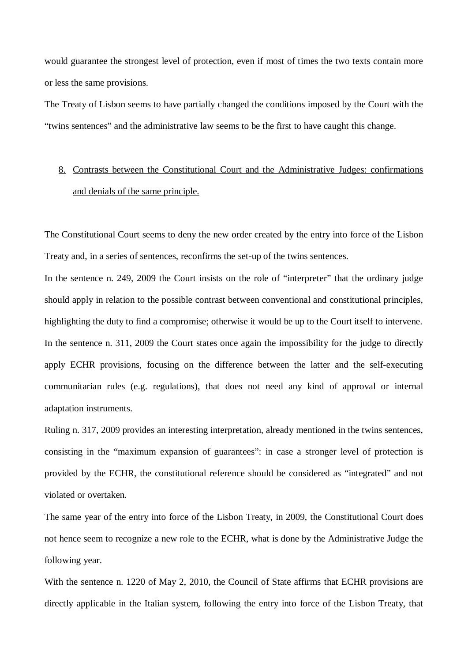would guarantee the strongest level of protection, even if most of times the two texts contain more or less the same provisions.

The Treaty of Lisbon seems to have partially changed the conditions imposed by the Court with the "twins sentences" and the administrative law seems to be the first to have caught this change.

# 8. Contrasts between the Constitutional Court and the Administrative Judges: confirmations and denials of the same principle.

The Constitutional Court seems to deny the new order created by the entry into force of the Lisbon Treaty and, in a series of sentences, reconfirms the set-up of the twins sentences.

In the sentence n. 249, 2009 the Court insists on the role of "interpreter" that the ordinary judge should apply in relation to the possible contrast between conventional and constitutional principles, highlighting the duty to find a compromise; otherwise it would be up to the Court itself to intervene. In the sentence n. 311, 2009 the Court states once again the impossibility for the judge to directly apply ECHR provisions, focusing on the difference between the latter and the self-executing communitarian rules (e.g. regulations), that does not need any kind of approval or internal adaptation instruments.

Ruling n. 317, 2009 provides an interesting interpretation, already mentioned in the twins sentences, consisting in the "maximum expansion of guarantees": in case a stronger level of protection is provided by the ECHR, the constitutional reference should be considered as "integrated" and not violated or overtaken.

The same year of the entry into force of the Lisbon Treaty, in 2009, the Constitutional Court does not hence seem to recognize a new role to the ECHR, what is done by the Administrative Judge the following year.

With the sentence n. 1220 of May 2, 2010, the Council of State affirms that ECHR provisions are directly applicable in the Italian system, following the entry into force of the Lisbon Treaty, that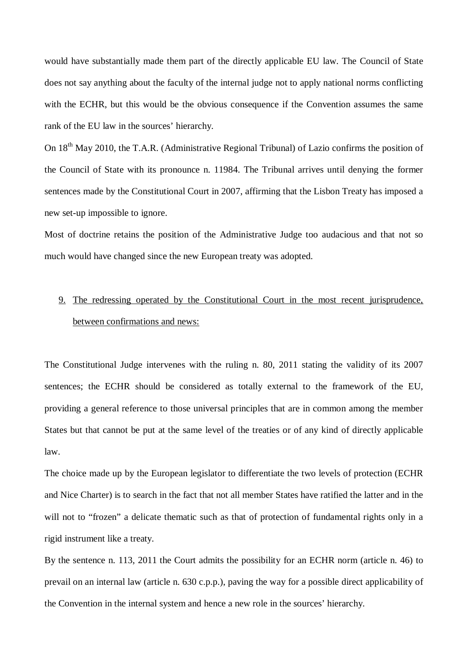would have substantially made them part of the directly applicable EU law. The Council of State does not say anything about the faculty of the internal judge not to apply national norms conflicting with the ECHR, but this would be the obvious consequence if the Convention assumes the same rank of the EU law in the sources' hierarchy.

On 18<sup>th</sup> May 2010, the T.A.R. (Administrative Regional Tribunal) of Lazio confirms the position of the Council of State with its pronounce n. 11984. The Tribunal arrives until denying the former sentences made by the Constitutional Court in 2007, affirming that the Lisbon Treaty has imposed a new set-up impossible to ignore.

Most of doctrine retains the position of the Administrative Judge too audacious and that not so much would have changed since the new European treaty was adopted.

# 9. The redressing operated by the Constitutional Court in the most recent jurisprudence, between confirmations and news:

The Constitutional Judge intervenes with the ruling n. 80, 2011 stating the validity of its 2007 sentences; the ECHR should be considered as totally external to the framework of the EU, providing a general reference to those universal principles that are in common among the member States but that cannot be put at the same level of the treaties or of any kind of directly applicable law.

The choice made up by the European legislator to differentiate the two levels of protection (ECHR and Nice Charter) is to search in the fact that not all member States have ratified the latter and in the will not to "frozen" a delicate thematic such as that of protection of fundamental rights only in a rigid instrument like a treaty.

By the sentence n. 113, 2011 the Court admits the possibility for an ECHR norm (article n. 46) to prevail on an internal law (article n. 630 c.p.p.), paving the way for a possible direct applicability of the Convention in the internal system and hence a new role in the sources' hierarchy.